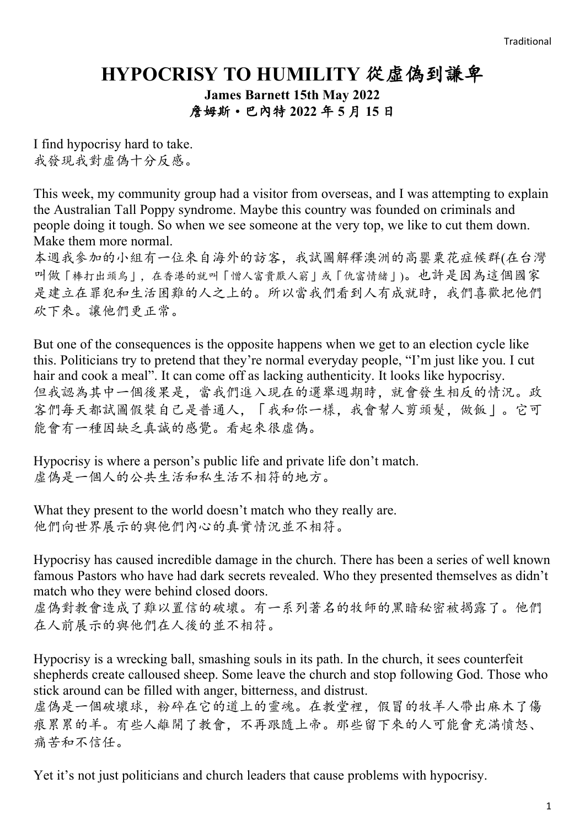## **HYPOCRISY TO HUMILITY** 從虛偽到謙卑

**James Barnett 15th May 2022** 詹姆斯·巴內特 **2022** 年 **5** 月 **15** 日

I find hypocrisy hard to take. 我發現我對虛偽十分反感。

This week, my community group had a visitor from overseas, and I was attempting to explain the Australian Tall Poppy syndrome. Maybe this country was founded on criminals and people doing it tough. So when we see someone at the very top, we like to cut them down. Make them more normal.

本週我參加的小組有一位來自海外的訪客,我試圖解釋澳洲的高罌粟花症候群(在台灣 叫做「棒打出頭鳥」,在香港的就叫「憎人富貴厭人窮」或「仇富情緒」)。也許是因為這個國家 是建立在罪犯和生活困難的人之上的。所以當我們看到人有成就時,我們喜歡把他們 砍下來。讓他們更正常。

But one of the consequences is the opposite happens when we get to an election cycle like this. Politicians try to pretend that they're normal everyday people, "I'm just like you. I cut hair and cook a meal". It can come off as lacking authenticity. It looks like hypocrisy. 但我認為其中一個後果是,當我們進入現在的選舉週期時,就會發生相反的情況。政 客們每天都試圖假裝自己是普通人,「我和你一樣,我會幫人剪頭髮,做飯」。它可 能會有一種因缺乏真誠的感覺。看起來很虛偽。

Hypocrisy is where a person's public life and private life don't match. 虚偽是一個人的公共生活和私生活不相符的地方。

What they present to the world doesn't match who they really are. 他們向世界展示的與他們內心的真實情況並不相符。

Hypocrisy has caused incredible damage in the church. There has been a series of well known famous Pastors who have had dark secrets revealed. Who they presented themselves as didn't match who they were behind closed doors.

虛偽對教會造成了難以置信的破壞。有一系列著名的牧師的黑暗秘密被揭露了。他們 在人前展示的與他們在人後的並不相符。

Hypocrisy is a wrecking ball, smashing souls in its path. In the church, it sees counterfeit shepherds create calloused sheep. Some leave the church and stop following God. Those who stick around can be filled with anger, bitterness, and distrust.

虛偽是一個破壞球,粉碎在它的道上的靈魂。在教堂裡,假冒的牧羊人帶出麻木了傷 痕累累的羊。有些人離開了教會,不再跟隨上帝。那些留下來的人可能會充滿憤怒、 痛苦和不信任。

Yet it's not just politicians and church leaders that cause problems with hypocrisy.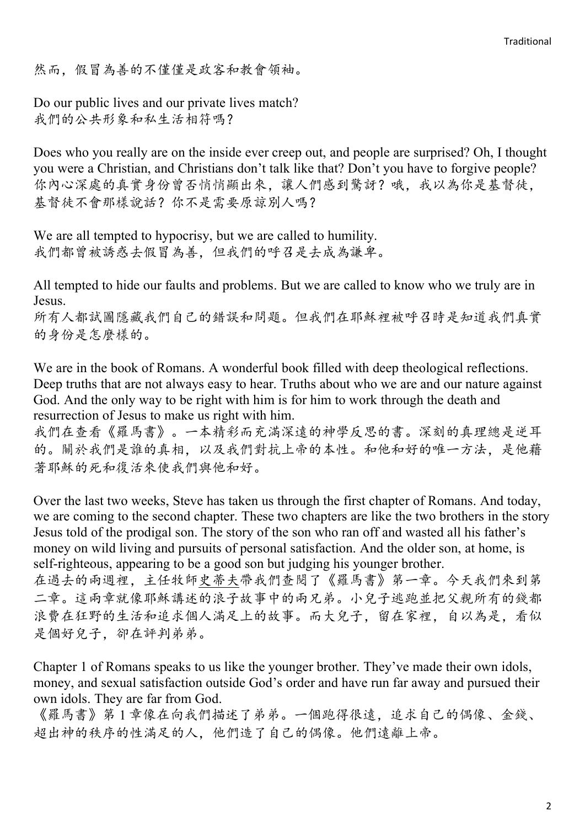然而,假冒為善的不僅僅是政客和教會領袖。

Do our public lives and our private lives match? 我們的公共形象和私生活相符嗎?

Does who you really are on the inside ever creep out, and people are surprised? Oh, I thought you were a Christian, and Christians don't talk like that? Don't you have to forgive people? 你內心深處的真實身份曾否悄悄顯出來,讓人們感到驚訝?哦,我以為你是基督徒, 基督徒不會那樣說話? 你不是需要原諒別人嗎?

We are all tempted to hypocrisy, but we are called to humility. 我們都曾被誘惑去假冒為善,但我們的呼召是去成為謙卑。

All tempted to hide our faults and problems. But we are called to know who we truly are in Jesus.

所有人都試圖隱藏我們自己的錯誤和問題。但我們在耶穌裡被呼召時是知道我們真實 的身份是怎麼樣的。

We are in the book of Romans. A wonderful book filled with deep theological reflections. Deep truths that are not always easy to hear. Truths about who we are and our nature against God. And the only way to be right with him is for him to work through the death and resurrection of Jesus to make us right with him.

我們在查看《羅馬書》。一本精彩而充滿深遠的神學反思的書。深刻的真理總是逆耳 的。關於我們是誰的真相,以及我們對抗上帝的本性。和他和好的唯一方法,是他藉 著耶穌的死和復活來使我們與他和好。

Over the last two weeks, Steve has taken us through the first chapter of Romans. And today, we are coming to the second chapter. These two chapters are like the two brothers in the story Jesus told of the prodigal son. The story of the son who ran off and wasted all his father's money on wild living and pursuits of personal satisfaction. And the older son, at home, is self-righteous, appearing to be a good son but judging his younger brother.

在過去的兩週裡,主任牧師史蒂夫帶我們查閱了《羅馬書》第一章。今天我們來到第 二章。這兩章就像耶穌講述的浪子故事中的兩兄弟。小兒子逃跑並把父親所有的錢都 浪費在狂野的生活和追求個人滿足上的故事。而大兒子,留在家裡,自以為是,看似 是個好兒子,卻在評判弟弟。

Chapter 1 of Romans speaks to us like the younger brother. They've made their own idols, money, and sexual satisfaction outside God's order and have run far away and pursued their own idols. They are far from God.

《羅馬書》第 1 章像在向我們描述了弟弟。一個跑得很遠,追求自己的偶像、金錢、 超出神的秩序的性滿足的人,他們造了自己的偶像。他們遠離上帝。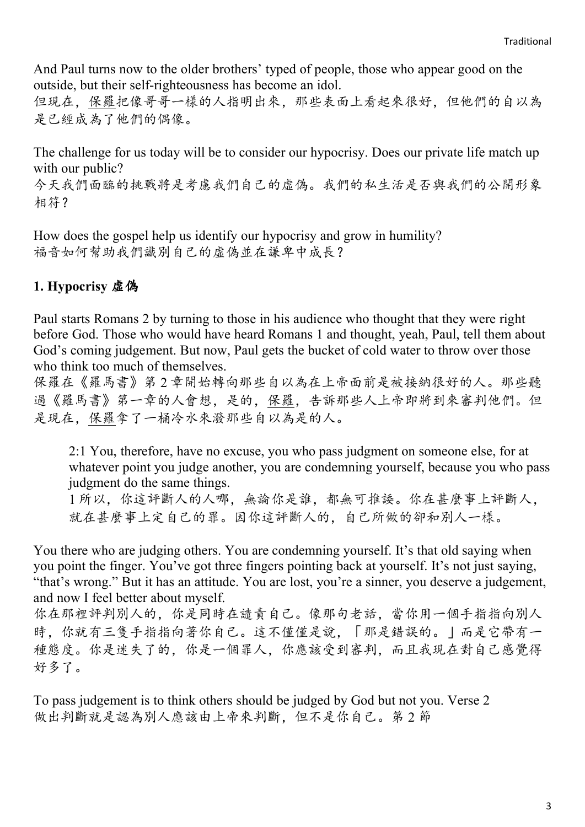And Paul turns now to the older brothers' typed of people, those who appear good on the outside, but their self-righteousness has become an idol.

但現在,保羅把像哥哥一樣的人指明出來,那些表面上看起來很好,但他們的自以為 是已經成為了他們的偶像。

The challenge for us today will be to consider our hypocrisy. Does our private life match up with our public?

今天我們面臨的挑戰將是考慮我們自己的虛偽。我們的私生活是否與我們的公開形象 相符?

How does the gospel help us identify our hypocrisy and grow in humility? 福音如何幫助我們識別自己的虛偽並在謙卑中成長?

## **1. Hypocrisy** 虛偽

Paul starts Romans 2 by turning to those in his audience who thought that they were right before God. Those who would have heard Romans 1 and thought, yeah, Paul, tell them about God's coming judgement. But now, Paul gets the bucket of cold water to throw over those who think too much of themselves.

保羅在《羅馬書》第 2 章開始轉向那些自以為在上帝面前是被接納很好的人。那些聽 過《羅馬書》第一章的人會想,是的,保羅,告訴那些人上帝即將到來審判他們。但 是現在,保羅拿了一桶冷水來潑那些自以為是的人。

2:1 You, therefore, have no excuse, you who pass judgment on someone else, for at whatever point you judge another, you are condemning yourself, because you who pass judgment do the same things.

1 所以,你這評斷人的人哪,無論你是誰,都無可推諉。你在甚麼事上評斷人, 就在甚麼事上定自己的罪。因你這評斷人的,自己所做的卻和別人一樣。

You there who are judging others. You are condemning yourself. It's that old saying when you point the finger. You've got three fingers pointing back at yourself. It's not just saying, "that's wrong." But it has an attitude. You are lost, you're a sinner, you deserve a judgement, and now I feel better about myself.

你在那裡評判別人的,你是同時在譴責自己。像那句老話,當你用一個手指指向別人 時,你就有三隻手指指向著你自己。這不僅僅是說,「那是錯誤的。」而是它帶有一 種態度。你是迷失了的,你是一個罪人,你應該受到審判,而且我現在對自己感覺得 好多了。

To pass judgement is to think others should be judged by God but not you. Verse 2 做出判斷就是認為別人應該由上帝來判斷,但不是你自己。第 2 節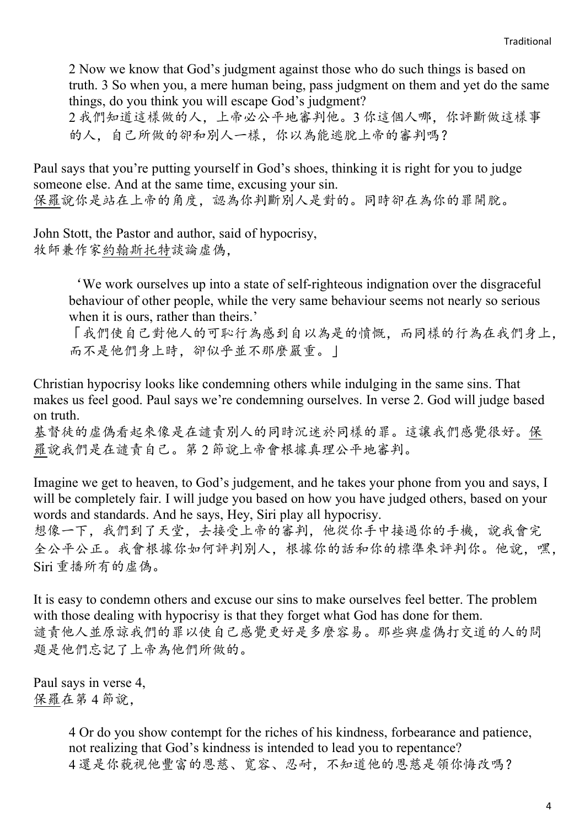2 Now we know that God's judgment against those who do such things is based on truth. 3 So when you, a mere human being, pass judgment on them and yet do the same things, do you think you will escape God's judgment?

2 我們知道這樣做的人,上帝必公平地審判他。3 你這個人哪,你評斷做這樣事 的人,自己所做的卻和別人一樣,你以為能逃脫上帝的審判嗎?

Paul says that you're putting yourself in God's shoes, thinking it is right for you to judge someone else. And at the same time, excusing your sin. 保羅說你是站在上帝的角度,認為你判斷別人是對的。同時卻在為你的罪開脫。

John Stott, the Pastor and author, said of hypocrisy, 牧師兼作家約翰斯托特談論虛偽,

> 'We work ourselves up into a state of self-righteous indignation over the disgraceful behaviour of other people, while the very same behaviour seems not nearly so serious when it is ours, rather than theirs.'

「我們使自己對他人的可恥行為感到自以為是的憤慨,而同樣的行為在我們身上, 而不是他們身上時,卻似乎並不那麼嚴重。」

Christian hypocrisy looks like condemning others while indulging in the same sins. That makes us feel good. Paul says we're condemning ourselves. In verse 2. God will judge based on truth.

基督徒的虛偽看起來像是在譴責別人的同時沉迷於同樣的罪。這讓我們感覺很好。保 羅說我們是在譴責自己。第 2 節說上帝會根據真理公平地審判。

Imagine we get to heaven, to God's judgement, and he takes your phone from you and says, I will be completely fair. I will judge you based on how you have judged others, based on your words and standards. And he says, Hey, Siri play all hypocrisy.

想像一下,我們到了天堂,去接受上帝的審判,他從你手中接過你的手機,說我會完 全公平公正。我會根據你如何評判別人,根據你的話和你的標準來評判你。他說,嘿, Siri 重播所有的虛偽。

It is easy to condemn others and excuse our sins to make ourselves feel better. The problem with those dealing with hypocrisy is that they forget what God has done for them. 譴責他人並原諒我們的罪以使自己感覺更好是多麼容易。那些與虛偽打交道的人的問 題是他們忘記了上帝為他們所做的。

Paul says in verse 4, 保羅在第 4 節說,

> 4 Or do you show contempt for the riches of his kindness, forbearance and patience, not realizing that God's kindness is intended to lead you to repentance? 4 還是你藐視他豐富的恩慈、寬容、忍耐,不知道他的恩慈是領你悔改嗎?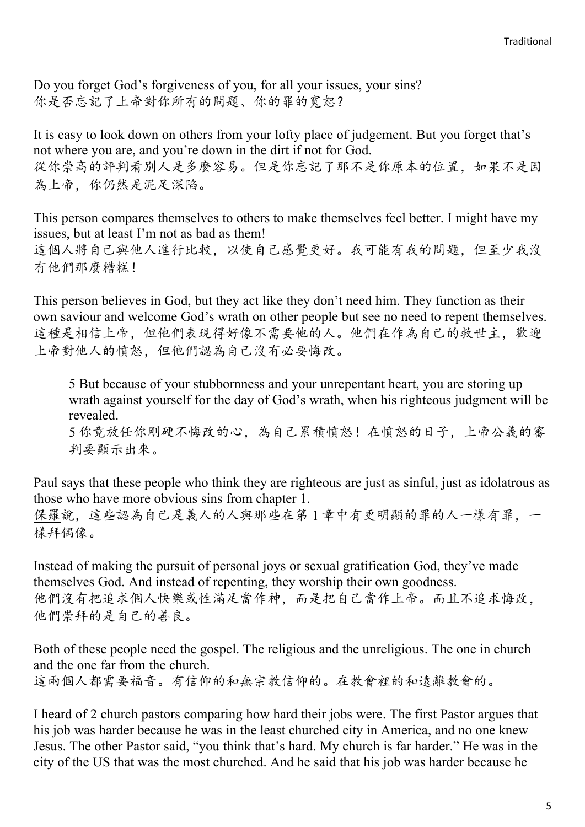Do you forget God's forgiveness of you, for all your issues, your sins? 你是否忘記了上帝對你所有的問題、你的罪的寬恕?

It is easy to look down on others from your lofty place of judgement. But you forget that's not where you are, and you're down in the dirt if not for God. 從你崇高的評判看別人是多麼容易。但是你忘記了那不是你原本的位置,如果不是因 為上帝,你仍然是泥足深陷。

This person compares themselves to others to make themselves feel better. I might have my issues, but at least I'm not as bad as them! 這個人將自己與他人進行比較,以使自己感覺更好。我可能有我的問題,但至少我沒 有他們那麼糟糕!

This person believes in God, but they act like they don't need him. They function as their own saviour and welcome God's wrath on other people but see no need to repent themselves. 這種是相信上帝,但他們表現得好像不需要他的人。他們在作為自己的救世主,歡迎 上帝對他人的憤怒,但他們認為自己沒有必要悔改。

5 But because of your stubbornness and your unrepentant heart, you are storing up wrath against yourself for the day of God's wrath, when his righteous judgment will be revealed.

5 你竟放任你剛硬不悔改的心,為自己累積憤怒!在憤怒的日子,上帝公義的審 判要顯示出來。

Paul says that these people who think they are righteous are just as sinful, just as idolatrous as those who have more obvious sins from chapter 1. 保羅說,這些認為自己是義人的人與那些在第 1 章中有更明顯的罪的人一樣有罪,一 樣拜偶像。

Instead of making the pursuit of personal joys or sexual gratification God, they've made themselves God. And instead of repenting, they worship their own goodness. 他們沒有把追求個人快樂或性滿足當作神,而是把自己當作上帝。而且不追求悔改, 他們崇拜的是自己的善良。

Both of these people need the gospel. The religious and the unreligious. The one in church and the one far from the church.

這兩個人都需要福音。有信仰的和無宗教信仰的。在教會裡的和遠離教會的。

I heard of 2 church pastors comparing how hard their jobs were. The first Pastor argues that his job was harder because he was in the least churched city in America, and no one knew Jesus. The other Pastor said, "you think that's hard. My church is far harder." He was in the city of the US that was the most churched. And he said that his job was harder because he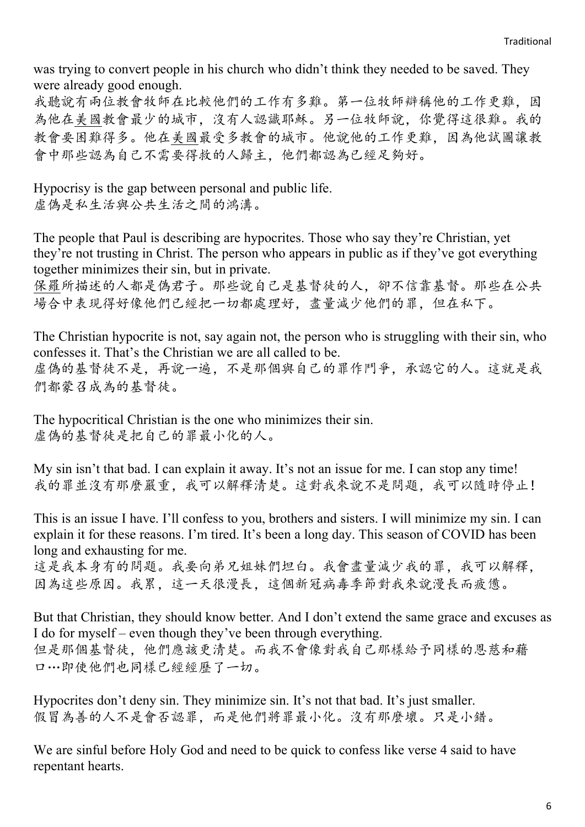was trying to convert people in his church who didn't think they needed to be saved. They were already good enough.

我聽說有兩位教會牧師在比較他們的工作有多難。第一位牧師辯稱他的工作更難,因 為他在美國教會最少的城市,沒有人認識耶穌。另一位牧師說,你覺得這很難。我的 教會要困難得多。他在美國最受多教會的城市。他說他的工作更難,因為他試圖讓教 會中那些認為自己不需要得救的人歸主,他們都認為已經足夠好。

Hypocrisy is the gap between personal and public life. 虚偽是私生活欲共生活之間的鴻溝。

The people that Paul is describing are hypocrites. Those who say they're Christian, yet they're not trusting in Christ. The person who appears in public as if they've got everything together minimizes their sin, but in private.

保羅所描述的人都是偽君子。那些說自己是基督徒的人,卻不信靠基督。那些在公共 場合中表現得好像他們已經把一切都處理好,盡量減少他們的罪,但在私下。

The Christian hypocrite is not, say again not, the person who is struggling with their sin, who confesses it. That's the Christian we are all called to be. 虚偽的基督徒不是,再說一遍,不是那個與自己的罪作鬥爭,承認它的人。這就是我 們都蒙召成為的基督徒。

The hypocritical Christian is the one who minimizes their sin. 虚偽的基督徒是把自己的罪最小化的人。

My sin isn't that bad. I can explain it away. It's not an issue for me. I can stop any time! 我的罪並沒有那麼嚴重,我可以解釋清楚。這對我來說不是問題,我可以隨時停止!

This is an issue I have. I'll confess to you, brothers and sisters. I will minimize my sin. I can explain it for these reasons. I'm tired. It's been a long day. This season of COVID has been long and exhausting for me.

這是我本身有的問題。我要向弟兄姐妹們坦白。我會盡量減少我的罪,我可以解釋, 因為這些原因。我累,這一天很漫長,這個新冠病毒季節對我來說漫長而疲憊。

But that Christian, they should know better. And I don't extend the same grace and excuses as I do for myself – even though they've been through everything. 但是那個基督徒,他們應該更清楚。而我不會像對我自己那樣給予同樣的恩慈和藉 口…即使他們也同樣已經經歷了一切。

Hypocrites don't deny sin. They minimize sin. It's not that bad. It's just smaller. 假冒為善的人不是會否認罪,而是他們將罪最小化。沒有那麼壞。只是小錯。

We are sinful before Holy God and need to be quick to confess like verse 4 said to have repentant hearts.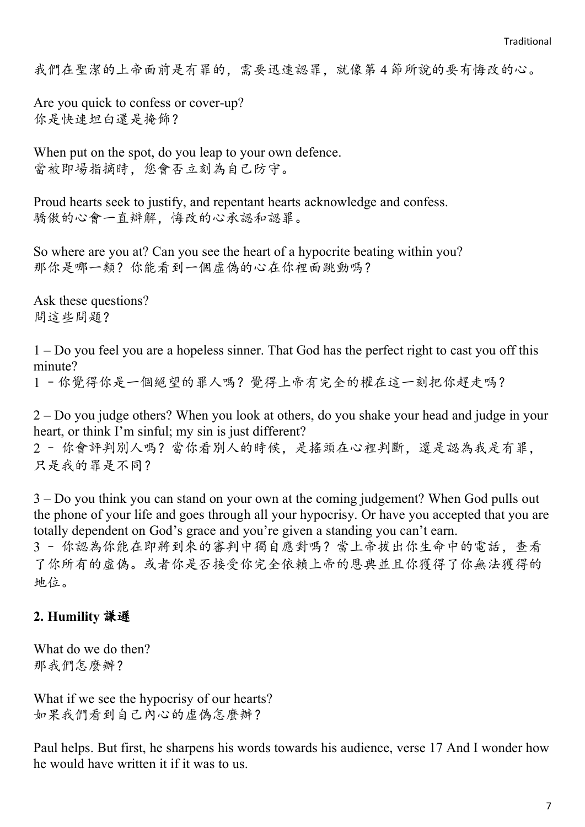我們在聖潔的上帝面前是有罪的,需要迅速認罪,就像第 4 節所說的要有悔改的心。

Are you quick to confess or cover-up? 你是快速坦白還是掩飾?

When put on the spot, do you leap to your own defence. 當被即場指摘時,您會否立刻為自己防守。

Proud hearts seek to justify, and repentant hearts acknowledge and confess. 驕傲的心會一直辯解,悔改的心承認和認罪。

So where are you at? Can you see the heart of a hypocrite beating within you? 那你是哪一類?你能看到一個虛偽的心在你裡面跳動嗎?

Ask these questions? 問這些問題?

1 – Do you feel you are a hopeless sinner. That God has the perfect right to cast you off this minute?

1 –你覺得你是一個絕望的罪人嗎?覺得上帝有完全的權在這一刻把你趕走嗎?

2 – Do you judge others? When you look at others, do you shake your head and judge in your heart, or think I'm sinful; my sin is just different?

2 – 你會評判別人嗎?當你看別人的時候,是搖頭在心裡判斷,還是認為我是有罪, 只是我的罪是不同?

3 – Do you think you can stand on your own at the coming judgement? When God pulls out the phone of your life and goes through all your hypocrisy. Or have you accepted that you are totally dependent on God's grace and you're given a standing you can't earn.

3 – 你認為你能在即將到來的審判中獨自應對嗎?當上帝拔出你生命中的電話,查看 了你所有的虛偽。或者你是否接受你完全依賴上帝的恩典並且你獲得了你無法獲得的 地位。

## **2. Humility** 謙遜

What do we do then? 那我們怎麼辦?

What if we see the hypocrisy of our hearts? 如果我們看到自己內心的虛偽怎麼辦?

Paul helps. But first, he sharpens his words towards his audience, verse 17 And I wonder how he would have written it if it was to us.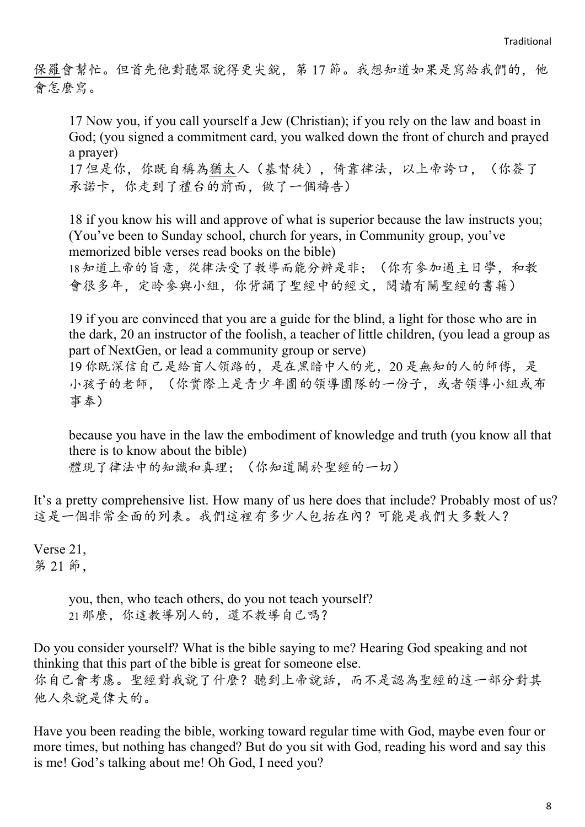保羅會幫忙。但首先他對聽眾說得更尖銳,第 17 節。我想知道如果是寫給我們的,他 會怎麼寫。

17 Now you, if you call yourself a Jew (Christian); if you rely on the law and boast in God; (you signed a commitment card, you walked down the front of church and prayed a prayer)

17 但是你,你既自稱為猶太人(基督徒),倚靠律法,以上帝誇口,(你簽了 承諾卡,你走到了禮台的前面,做了一個禱告)

18 if you know his will and approve of what is superior because the law instructs you; (You've been to Sunday school, church for years, in Community group, you've memorized bible verses read books on the bible) 18知道上帝的旨意,從律法受了教導而能分辨是非;(你有參加過主日學,和教

會很多年,定昤參與小組,你背誦了聖經中的經文,閱讀有關聖經的書籍)

19 if you are convinced that you are a guide for the blind, a light for those who are in the dark, 20 an instructor of the foolish, a teacher of little children, (you lead a group as part of NextGen, or lead a community group or serve)

19 你既深信自己是給盲人領路的,是在黑暗中人的光,20 是無知的人的師傅,是 小孩子的老師,(你實際上是青少年團的領導團隊的一份子,或者領導小組或布 事奉)

because you have in the law the embodiment of knowledge and truth (you know all that there is to know about the bible) 體現了律法中的知識和真理;(你知道關於聖經的一切)

It's a pretty comprehensive list. How many of us here does that include? Probably most of us? 這是一個非常全面的列表。我們這裡有多少人包括在內?可能是我們大多數人?

Verse 21, 第 21 節,

> you, then, who teach others, do you not teach yourself? 21那麼,你這教導別人的,還不教導自己嗎?

Do you consider yourself? What is the bible saying to me? Hearing God speaking and not thinking that this part of the bible is great for someone else. 你自己會考慮。聖經對我說了什麼?聽到上帝說話,而不是認為聖經的這一部分對其 他人來說是偉大的。

Have you been reading the bible, working toward regular time with God, maybe even four or more times, but nothing has changed? But do you sit with God, reading his word and say this is me! God's talking about me! Oh God, I need you?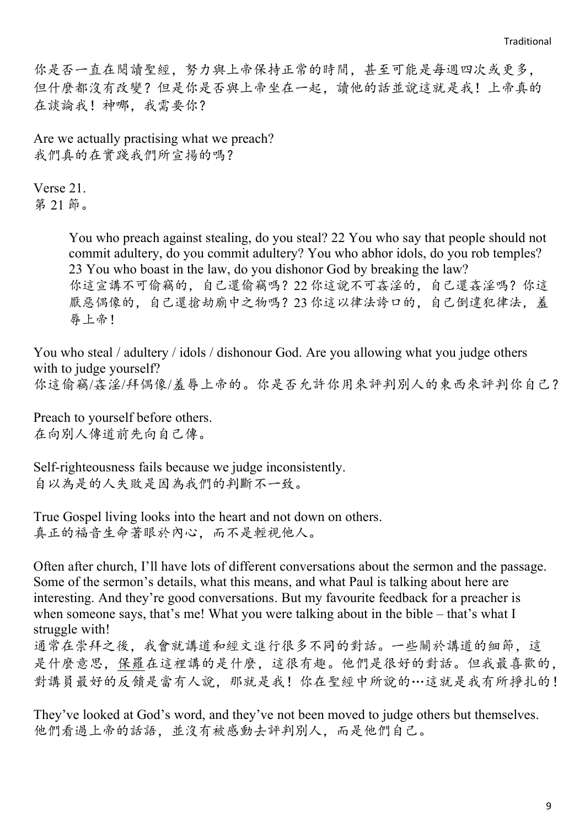你是否一直在閱讀聖經,努力與上帝保持正常的時間,甚至可能是每週四次或更多, 但什麼都沒有改變?但是你是否與上帝坐在一起,讀他的話並說這就是我!上帝真的 在談論我!神哪,我需要你?

Are we actually practising what we preach? 我們真的在實踐我們所宣揚的嗎?

Verse 21. 第 21 節。

> You who preach against stealing, do you steal? 22 You who say that people should not commit adultery, do you commit adultery? You who abhor idols, do you rob temples? 23 You who boast in the law, do you dishonor God by breaking the law? 你這宣講不可偷竊的,自己還偷竊嗎?22 你這說不可姦淫的,自己還姦淫嗎?你這 厭惡偶像的,自己還搶劫廟中之物嗎?23你這以律法誇口的,自己倒違犯律法,羞 辱上帝!

You who steal / adultery / idols / dishonour God. Are you allowing what you judge others with to judge yourself? 你這偷竊/姦淫/拜偶像/羞辱上帝的。你是否允許你用來評判別人的東西來評判你自己?

Preach to yourself before others. 在向別人傳道前先向自己傳。

Self-righteousness fails because we judge inconsistently. 自以為是的人失敗是因為我們的判斷不一致。

True Gospel living looks into the heart and not down on others. 真正的福音生命著眼於內心,而不是輕視他人。

Often after church, I'll have lots of different conversations about the sermon and the passage. Some of the sermon's details, what this means, and what Paul is talking about here are interesting. And they're good conversations. But my favourite feedback for a preacher is when someone says, that's me! What you were talking about in the bible – that's what I struggle with!

通常在崇拜之後,我會就講道和經文進行很多不同的對話。一些關於講道的細節,這 是什麼意思,保羅在這裡講的是什麼,這很有趣。他們是很好的對話。但我最喜歡的, 對講員最好的反饋是當有人說,那就是我!你在聖經中所說的…這就是我有所掙扎的!

They've looked at God's word, and they've not been moved to judge others but themselves. 他們看過上帝的話語,並沒有被感動去評判別人,而是他們自己。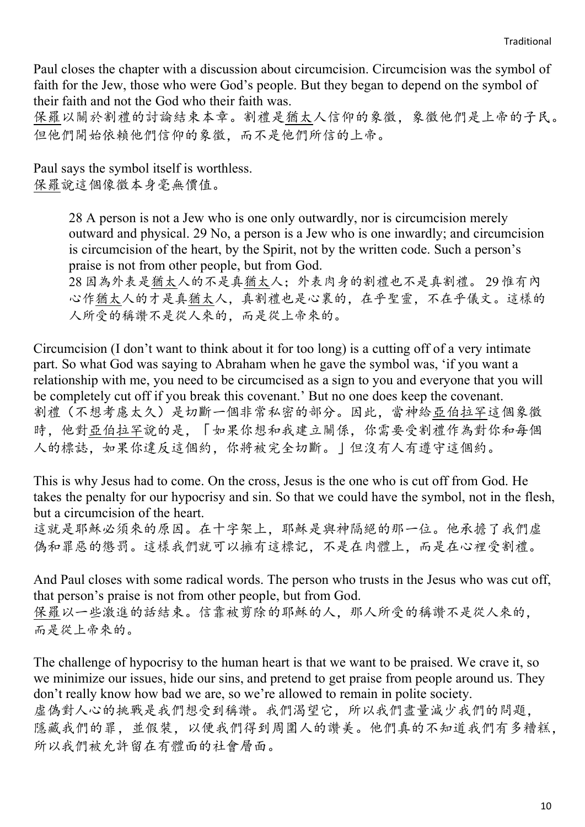Paul closes the chapter with a discussion about circumcision. Circumcision was the symbol of faith for the Jew, those who were God's people. But they began to depend on the symbol of their faith and not the God who their faith was.

保羅以關於割禮的討論結束本章。割禮是猶太人信仰的象徵,象徵他們是上帝的子民。 但他們開始依賴他們信仰的象徵,而不是他們所信的上帝。

Paul says the symbol itself is worthless. 保羅說這個像徵本身毫無價值。

> 28 A person is not a Jew who is one only outwardly, nor is circumcision merely outward and physical. 29 No, a person is a Jew who is one inwardly; and circumcision is circumcision of the heart, by the Spirit, not by the written code. Such a person's praise is not from other people, but from God.

> 28 因為外表是猶太人的不是真猶太人;外表肉身的割禮也不是真割禮。 29 惟有內 心作猶太人的才是真猶太人,真割禮也是心裏的,在乎聖靈,不在乎儀文。這樣的 人所受的稱讚不是從人來的,而是從上帝來的。

Circumcision (I don't want to think about it for too long) is a cutting off of a very intimate part. So what God was saying to Abraham when he gave the symbol was, 'if you want a relationship with me, you need to be circumcised as a sign to you and everyone that you will be completely cut off if you break this covenant.' But no one does keep the covenant. 割禮(不想考慮太久)是切斷一個非常私密的部分。因此,當神給亞伯拉罕這個象徵 時,他對亞伯拉罕說的是,「如果你想和我建立關係,你需要受割禮作為對你和每個 人的標誌,如果你違反這個約,你將被完全切斷。」但沒有人有遵守這個約。

This is why Jesus had to come. On the cross, Jesus is the one who is cut off from God. He takes the penalty for our hypocrisy and sin. So that we could have the symbol, not in the flesh, but a circumcision of the heart.

這就是耶穌必須來的原因。在十字架上,耶穌是與神隔絕的那一位。他承擔了我們虛 偽和罪惡的懲罰。這樣我們就可以擁有這標記,不是在肉體上,而是在心裡受割禮。

And Paul closes with some radical words. The person who trusts in the Jesus who was cut off, that person's praise is not from other people, but from God. 保羅以一些激進的話結束。信靠被剪除的耶穌的人,那人所受的稱讚不是從人來的, 而是從上帝來的。

The challenge of hypocrisy to the human heart is that we want to be praised. We crave it, so we minimize our issues, hide our sins, and pretend to get praise from people around us. They don't really know how bad we are, so we're allowed to remain in polite society. 虛偽對人心的挑戰是我們想受到稱讚。我們渴望它,所以我們盡量減少我們的問題, 隱藏我們的罪,並假裝,以便我們得到周圍人的讚美。他們真的不知道我們有多糟糕, 所以我們被允許留在有體面的社會層面。